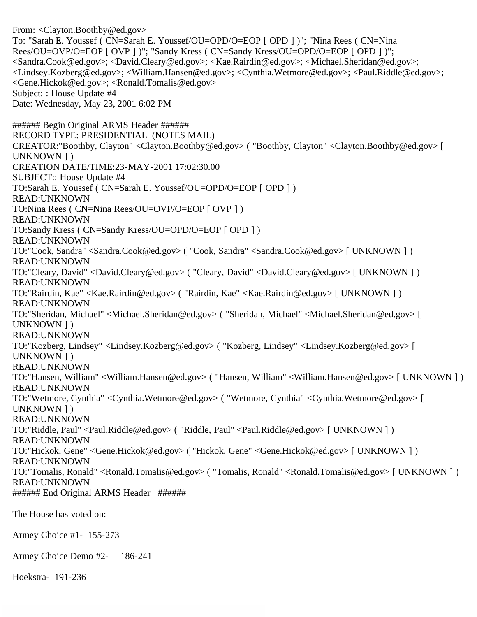From: <Clayton.Boothby@ed.gov> To: "Sarah E. Youssef ( CN=Sarah E. Youssef/OU=OPD/O=EOP [ OPD ] )"; "Nina Rees ( CN=Nina Rees/OU=OVP/O=EOP [ OVP ] )"; "Sandy Kress ( CN=Sandy Kress/OU=OPD/O=EOP [ OPD ] )"; <Sandra.Cook@ed.gov>; <David.Cleary@ed.gov>; <Kae.Rairdin@ed.gov>; <Michael.Sheridan@ed.gov>; <Lindsey.Kozberg@ed.gov>; <William.Hansen@ed.gov>; <Cynthia.Wetmore@ed.gov>; <Paul.Riddle@ed.gov>; <Gene.Hickok@ed.gov>; <Ronald.Tomalis@ed.gov> Subject: : House Update #4 Date: Wednesday, May 23, 2001 6:02 PM ###### Begin Original ARMS Header ###### RECORD TYPE: PRESIDENTIAL (NOTES MAIL) CREATOR:"Boothby, Clayton" <Clayton.Boothby@ed.gov> ( "Boothby, Clayton" <Clayton.Boothby@ed.gov> [ UNKNOWN ] ) CREATION DATE/TIME:23-MAY-2001 17:02:30.00 SUBJECT:: House Update #4 TO:Sarah E. Youssef ( CN=Sarah E. Youssef/OU=OPD/O=EOP [ OPD ] ) READ:UNKNOWN TO:Nina Rees ( CN=Nina Rees/OU=OVP/O=EOP [ OVP ] ) READ:UNKNOWN TO:Sandy Kress ( CN=Sandy Kress/OU=OPD/O=EOP [ OPD ] ) READ:UNKNOWN TO:"Cook, Sandra" <Sandra.Cook@ed.gov> ( "Cook, Sandra" <Sandra.Cook@ed.gov> [ UNKNOWN ] ) READ:UNKNOWN TO:"Cleary, David" <David.Cleary@ed.gov> ( "Cleary, David" <David.Cleary@ed.gov> [ UNKNOWN ] ) READ:UNKNOWN TO:"Rairdin, Kae" <Kae.Rairdin@ed.gov> ( "Rairdin, Kae" <Kae.Rairdin@ed.gov> [ UNKNOWN ] ) READ:UNKNOWN TO:"Sheridan, Michael" <Michael.Sheridan@ed.gov> ( "Sheridan, Michael" <Michael.Sheridan@ed.gov> [ UNKNOWN ] ) READ:UNKNOWN TO:"Kozberg, Lindsey" <Lindsey.Kozberg@ed.gov> ( "Kozberg, Lindsey" <Lindsey.Kozberg@ed.gov> [ UNKNOWN ] ) READ:UNKNOWN TO:"Hansen, William" <William.Hansen@ed.gov> ( "Hansen, William" <William.Hansen@ed.gov> [ UNKNOWN ] ) READ:UNKNOWN TO:"Wetmore, Cynthia" <Cynthia.Wetmore@ed.gov> ( "Wetmore, Cynthia" <Cynthia.Wetmore@ed.gov> [ UNKNOWN ] ) READ:UNKNOWN TO:"Riddle, Paul" <Paul.Riddle@ed.gov> ( "Riddle, Paul" <Paul.Riddle@ed.gov> [ UNKNOWN ] ) READ:UNKNOWN TO:"Hickok, Gene" <Gene.Hickok@ed.gov> ( "Hickok, Gene" <Gene.Hickok@ed.gov> [ UNKNOWN ] ) READ:UNKNOWN TO:"Tomalis, Ronald" <Ronald.Tomalis@ed.gov> ( "Tomalis, Ronald" <Ronald.Tomalis@ed.gov> [ UNKNOWN ] ) READ:UNKNOWN ###### End Original ARMS Header ###### The House has voted on: Armey Choice #1- 155-273 Armey Choice Demo #2- 186-241

Hoekstra- 191-236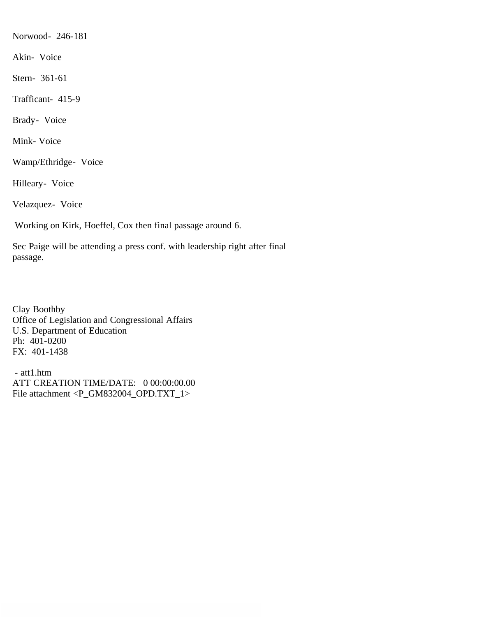Norwood- 246-181

Akin- Voice

Stern- 361-61

Trafficant- 415-9

Brady- Voice

Mink- Voice

Wamp/Ethridge- Voice

Hilleary- Voice

Velazquez- Voice

Working on Kirk, Hoeffel, Cox then final passage around 6.

Sec Paige will be attending a press conf. with leadership right after final passage.

Clay Boothby Office of Legislation and Congressional Affairs U.S. Department of Education Ph: 401-0200 FX: 401-1438

 - att1.htm ATT CREATION TIME/DATE: 0 00:00:00.00 File attachment <P\_GM832004\_OPD.TXT\_1>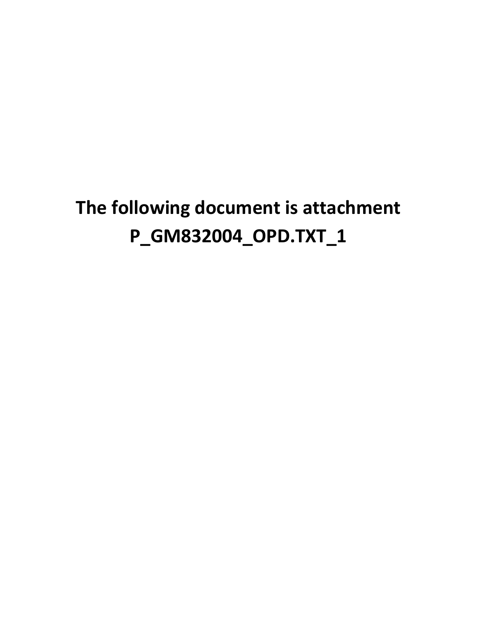## **The following document is attachment P\_GM832004\_OPD.TXT\_1**